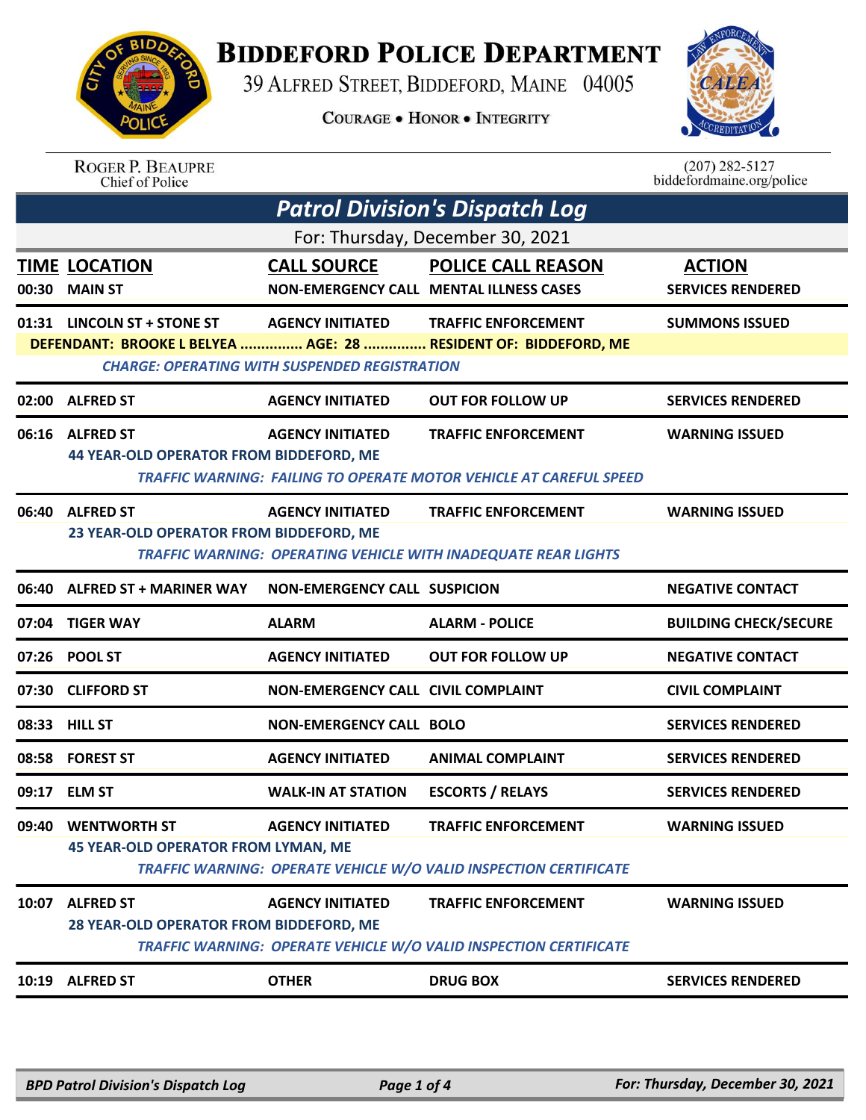

## **BIDDEFORD POLICE DEPARTMENT**

39 ALFRED STREET, BIDDEFORD, MAINE 04005

**COURAGE . HONOR . INTEGRITY** 



|                                                      | <b>ROGER P. BEAUPRE</b><br>Chief of Police                         |                         |                                                                                               | $(207)$ 282-5127<br>biddefordmaine.org/police |
|------------------------------------------------------|--------------------------------------------------------------------|-------------------------|-----------------------------------------------------------------------------------------------|-----------------------------------------------|
|                                                      |                                                                    |                         | <b>Patrol Division's Dispatch Log</b>                                                         |                                               |
| For: Thursday, December 30, 2021                     |                                                                    |                         |                                                                                               |                                               |
| 00:30                                                | <b>TIME LOCATION</b><br><b>MAIN ST</b>                             | <b>CALL SOURCE</b>      | <b>POLICE CALL REASON</b><br><b>NON-EMERGENCY CALL MENTAL ILLNESS CASES</b>                   | <b>ACTION</b><br><b>SERVICES RENDERED</b>     |
| 01:31                                                | LINCOLN ST + STONE ST                                              | <b>AGENCY INITIATED</b> | <b>TRAFFIC ENFORCEMENT</b><br>DEFENDANT: BROOKE L BELYEA  AGE: 28  RESIDENT OF: BIDDEFORD, ME | <b>SUMMONS ISSUED</b>                         |
| <b>CHARGE: OPERATING WITH SUSPENDED REGISTRATION</b> |                                                                    |                         |                                                                                               |                                               |
| 02:00                                                | <b>ALFRED ST</b>                                                   | <b>AGENCY INITIATED</b> | <b>OUT FOR FOLLOW UP</b>                                                                      | <b>SERVICES RENDERED</b>                      |
| 06:16                                                | <b>ALFRED ST</b><br><b>44 YEAR-OLD OPERATOR FROM BIDDEFORD, ME</b> | <b>AGENCY INITIATED</b> | <b>TRAFFIC ENFORCEMENT</b>                                                                    | <b>WARNING ISSUED</b>                         |

 *TRAFFIC WARNING: FAILING TO OPERATE MOTOR VEHICLE AT CAREFUL SPEED* 

|       | 06:40 ALFRED ST                                                   | <b>AGENCY INITIATED</b>             | <b>TRAFFIC ENFORCEMENT</b>                                                                      | <b>WARNING ISSUED</b>        |
|-------|-------------------------------------------------------------------|-------------------------------------|-------------------------------------------------------------------------------------------------|------------------------------|
|       | 23 YEAR-OLD OPERATOR FROM BIDDEFORD, ME                           |                                     |                                                                                                 |                              |
|       |                                                                   |                                     | <b>TRAFFIC WARNING: OPERATING VEHICLE WITH INADEQUATE REAR LIGHTS</b>                           |                              |
|       | 06:40 ALFRED ST + MARINER WAY                                     | <b>NON-EMERGENCY CALL SUSPICION</b> |                                                                                                 | <b>NEGATIVE CONTACT</b>      |
|       | 07:04 TIGER WAY                                                   | <b>ALARM</b>                        | <b>ALARM - POLICE</b>                                                                           | <b>BUILDING CHECK/SECURE</b> |
|       | 07:26 POOL ST                                                     | <b>AGENCY INITIATED</b>             | <b>OUT FOR FOLLOW UP</b>                                                                        | <b>NEGATIVE CONTACT</b>      |
|       | 07:30 CLIFFORD ST                                                 | NON-EMERGENCY CALL CIVIL COMPLAINT  |                                                                                                 | <b>CIVIL COMPLAINT</b>       |
|       | 08:33 HILL ST                                                     | <b>NON-EMERGENCY CALL BOLO</b>      |                                                                                                 | <b>SERVICES RENDERED</b>     |
|       | 08:58 FOREST ST                                                   | <b>AGENCY INITIATED</b>             | <b>ANIMAL COMPLAINT</b>                                                                         | <b>SERVICES RENDERED</b>     |
|       | 09:17 ELM ST                                                      | <b>WALK-IN AT STATION</b>           | <b>ESCORTS / RELAYS</b>                                                                         | <b>SERVICES RENDERED</b>     |
| 09:40 | <b>WENTWORTH ST</b><br><b>45 YEAR-OLD OPERATOR FROM LYMAN, ME</b> | <b>AGENCY INITIATED</b>             | <b>TRAFFIC ENFORCEMENT</b><br>TRAFFIC WARNING: OPERATE VEHICLE W/O VALID INSPECTION CERTIFICATE | <b>WARNING ISSUED</b>        |
|       | 10:07 ALFRED ST<br>28 YEAR-OLD OPERATOR FROM BIDDEFORD, ME        | <b>AGENCY INITIATED</b>             | <b>TRAFFIC ENFORCEMENT</b><br>TRAFFIC WARNING: OPERATE VEHICLE W/O VALID INSPECTION CERTIFICATE | <b>WARNING ISSUED</b>        |
|       | 10:19 ALFRED ST                                                   | <b>OTHER</b>                        | <b>DRUG BOX</b>                                                                                 | <b>SERVICES RENDERED</b>     |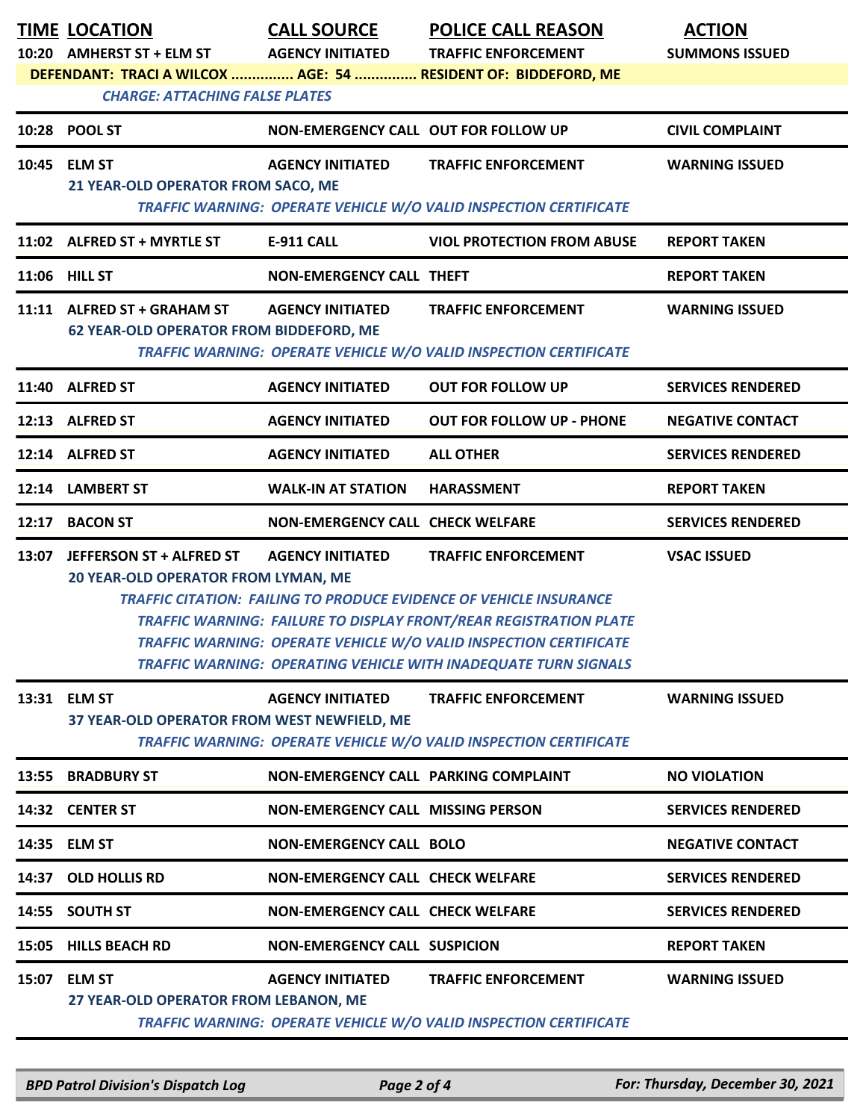|                                                                | <b>TIME LOCATION</b><br>10:20 AMHERST ST + ELM ST                             | <b>CALL SOURCE</b><br><b>AGENCY INITIATED</b> | <b>POLICE CALL REASON</b><br><b>TRAFFIC ENFORCEMENT</b>                                                                                                                                                                                                                                                                            | <b>ACTION</b><br><b>SUMMONS ISSUED</b> |  |  |
|----------------------------------------------------------------|-------------------------------------------------------------------------------|-----------------------------------------------|------------------------------------------------------------------------------------------------------------------------------------------------------------------------------------------------------------------------------------------------------------------------------------------------------------------------------------|----------------------------------------|--|--|
| DEFENDANT: TRACI A WILCOX  AGE: 54  RESIDENT OF: BIDDEFORD, ME |                                                                               |                                               |                                                                                                                                                                                                                                                                                                                                    |                                        |  |  |
|                                                                | <b>CHARGE: ATTACHING FALSE PLATES</b>                                         |                                               |                                                                                                                                                                                                                                                                                                                                    |                                        |  |  |
|                                                                | 10:28 POOL ST                                                                 | NON-EMERGENCY CALL OUT FOR FOLLOW UP          |                                                                                                                                                                                                                                                                                                                                    | <b>CIVIL COMPLAINT</b>                 |  |  |
|                                                                | 10:45 ELM ST                                                                  | <b>AGENCY INITIATED</b>                       | <b>TRAFFIC ENFORCEMENT</b>                                                                                                                                                                                                                                                                                                         | <b>WARNING ISSUED</b>                  |  |  |
|                                                                | 21 YEAR-OLD OPERATOR FROM SACO, ME                                            |                                               | TRAFFIC WARNING: OPERATE VEHICLE W/O VALID INSPECTION CERTIFICATE                                                                                                                                                                                                                                                                  |                                        |  |  |
|                                                                | 11:02 ALFRED ST + MYRTLE ST                                                   | E-911 CALL                                    | <b>VIOL PROTECTION FROM ABUSE</b>                                                                                                                                                                                                                                                                                                  | <b>REPORT TAKEN</b>                    |  |  |
|                                                                | 11:06 HILL ST                                                                 | <b>NON-EMERGENCY CALL THEFT</b>               |                                                                                                                                                                                                                                                                                                                                    | <b>REPORT TAKEN</b>                    |  |  |
|                                                                | 11:11 ALFRED ST + GRAHAM ST<br><b>62 YEAR-OLD OPERATOR FROM BIDDEFORD, ME</b> | <b>AGENCY INITIATED</b>                       | <b>TRAFFIC ENFORCEMENT</b>                                                                                                                                                                                                                                                                                                         | <b>WARNING ISSUED</b>                  |  |  |
|                                                                |                                                                               |                                               | TRAFFIC WARNING: OPERATE VEHICLE W/O VALID INSPECTION CERTIFICATE                                                                                                                                                                                                                                                                  |                                        |  |  |
|                                                                | 11:40 ALFRED ST                                                               | <b>AGENCY INITIATED</b>                       | <b>OUT FOR FOLLOW UP</b>                                                                                                                                                                                                                                                                                                           | <b>SERVICES RENDERED</b>               |  |  |
|                                                                | 12:13 ALFRED ST                                                               | <b>AGENCY INITIATED</b>                       | <b>OUT FOR FOLLOW UP - PHONE</b>                                                                                                                                                                                                                                                                                                   | <b>NEGATIVE CONTACT</b>                |  |  |
|                                                                | 12:14 ALFRED ST                                                               | <b>AGENCY INITIATED</b>                       | <b>ALL OTHER</b>                                                                                                                                                                                                                                                                                                                   | <b>SERVICES RENDERED</b>               |  |  |
|                                                                | 12:14 LAMBERT ST                                                              | <b>WALK-IN AT STATION</b>                     | <b>HARASSMENT</b>                                                                                                                                                                                                                                                                                                                  | <b>REPORT TAKEN</b>                    |  |  |
| 12:17                                                          | <b>BACON ST</b>                                                               | NON-EMERGENCY CALL CHECK WELFARE              |                                                                                                                                                                                                                                                                                                                                    | <b>SERVICES RENDERED</b>               |  |  |
|                                                                | 13:07 JEFFERSON ST + ALFRED ST<br>20 YEAR-OLD OPERATOR FROM LYMAN, ME         | <b>AGENCY INITIATED</b>                       | <b>TRAFFIC ENFORCEMENT</b><br><b>TRAFFIC CITATION: FAILING TO PRODUCE EVIDENCE OF VEHICLE INSURANCE</b><br><b>TRAFFIC WARNING: FAILURE TO DISPLAY FRONT/REAR REGISTRATION PLATE</b><br>TRAFFIC WARNING: OPERATE VEHICLE W/O VALID INSPECTION CERTIFICATE<br><b>TRAFFIC WARNING: OPERATING VEHICLE WITH INADEQUATE TURN SIGNALS</b> | <b>VSAC ISSUED</b>                     |  |  |
|                                                                | 13:31 ELM ST<br>37 YEAR-OLD OPERATOR FROM WEST NEWFIELD, ME                   | <b>AGENCY INITIATED</b>                       | <b>TRAFFIC ENFORCEMENT</b><br><b>TRAFFIC WARNING: OPERATE VEHICLE W/O VALID INSPECTION CERTIFICATE</b>                                                                                                                                                                                                                             | <b>WARNING ISSUED</b>                  |  |  |
| 13:55                                                          | <b>BRADBURY ST</b>                                                            | NON-EMERGENCY CALL PARKING COMPLAINT          |                                                                                                                                                                                                                                                                                                                                    | <b>NO VIOLATION</b>                    |  |  |
|                                                                | 14:32 CENTER ST                                                               | <b>NON-EMERGENCY CALL MISSING PERSON</b>      |                                                                                                                                                                                                                                                                                                                                    | <b>SERVICES RENDERED</b>               |  |  |
|                                                                | 14:35 ELM ST                                                                  | <b>NON-EMERGENCY CALL BOLO</b>                |                                                                                                                                                                                                                                                                                                                                    | <b>NEGATIVE CONTACT</b>                |  |  |
|                                                                | 14:37 OLD HOLLIS RD                                                           | <b>NON-EMERGENCY CALL CHECK WELFARE</b>       |                                                                                                                                                                                                                                                                                                                                    | <b>SERVICES RENDERED</b>               |  |  |
|                                                                | 14:55 SOUTH ST                                                                | <b>NON-EMERGENCY CALL CHECK WELFARE</b>       |                                                                                                                                                                                                                                                                                                                                    | <b>SERVICES RENDERED</b>               |  |  |
|                                                                | 15:05 HILLS BEACH RD                                                          | <b>NON-EMERGENCY CALL SUSPICION</b>           |                                                                                                                                                                                                                                                                                                                                    | <b>REPORT TAKEN</b>                    |  |  |
| 15:07                                                          | <b>ELM ST</b><br>27 YEAR-OLD OPERATOR FROM LEBANON, ME                        | <b>AGENCY INITIATED</b>                       | <b>TRAFFIC ENFORCEMENT</b><br><b>TRAFFIC WARNING: OPERATE VEHICLE W/O VALID INSPECTION CERTIFICATE</b>                                                                                                                                                                                                                             | <b>WARNING ISSUED</b>                  |  |  |

*BPD Patrol Division's Dispatch Log Page 2 of 4 For: Thursday, December 30, 2021*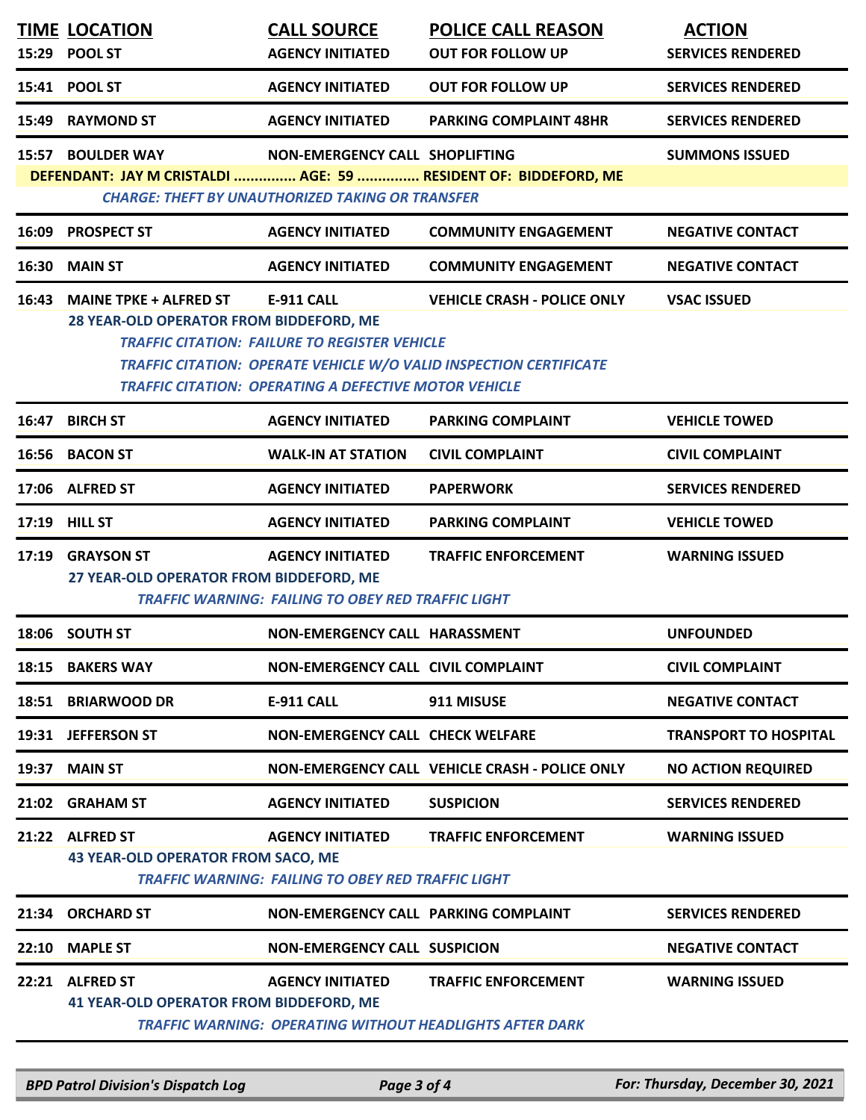| 15:29 | <b>TIME LOCATION</b><br><b>POOL ST</b>                                   | <b>CALL SOURCE</b><br><b>AGENCY INITIATED</b>                                                                                             | <b>POLICE CALL REASON</b><br><b>OUT FOR FOLLOW UP</b>                                                    | <b>ACTION</b><br><b>SERVICES RENDERED</b> |
|-------|--------------------------------------------------------------------------|-------------------------------------------------------------------------------------------------------------------------------------------|----------------------------------------------------------------------------------------------------------|-------------------------------------------|
| 15:41 | <b>POOL ST</b>                                                           | <b>AGENCY INITIATED</b>                                                                                                                   | <b>OUT FOR FOLLOW UP</b>                                                                                 | <b>SERVICES RENDERED</b>                  |
| 15:49 | <b>RAYMOND ST</b>                                                        | <b>AGENCY INITIATED</b>                                                                                                                   | <b>PARKING COMPLAINT 48HR</b>                                                                            | <b>SERVICES RENDERED</b>                  |
|       | 15:57 BOULDER WAY                                                        | NON-EMERGENCY CALL SHOPLIFTING<br><b>CHARGE: THEFT BY UNAUTHORIZED TAKING OR TRANSFER</b>                                                 | DEFENDANT: JAY M CRISTALDI  AGE: 59  RESIDENT OF: BIDDEFORD, ME                                          | <b>SUMMONS ISSUED</b>                     |
| 16:09 | <b>PROSPECT ST</b>                                                       | <b>AGENCY INITIATED</b>                                                                                                                   | <b>COMMUNITY ENGAGEMENT</b>                                                                              | <b>NEGATIVE CONTACT</b>                   |
|       | 16:30 MAIN ST                                                            | <b>AGENCY INITIATED</b>                                                                                                                   | <b>COMMUNITY ENGAGEMENT</b>                                                                              | <b>NEGATIVE CONTACT</b>                   |
| 16:43 | <b>MAINE TPKE + ALFRED ST</b><br>28 YEAR-OLD OPERATOR FROM BIDDEFORD, ME | <b>E-911 CALL</b><br><b>TRAFFIC CITATION: FAILURE TO REGISTER VEHICLE</b><br><b>TRAFFIC CITATION: OPERATING A DEFECTIVE MOTOR VEHICLE</b> | <b>VEHICLE CRASH - POLICE ONLY</b><br>TRAFFIC CITATION: OPERATE VEHICLE W/O VALID INSPECTION CERTIFICATE | <b>VSAC ISSUED</b>                        |
| 16:47 | <b>BIRCH ST</b>                                                          | <b>AGENCY INITIATED</b>                                                                                                                   | <b>PARKING COMPLAINT</b>                                                                                 | <b>VEHICLE TOWED</b>                      |
|       | 16:56 BACON ST                                                           | <b>WALK-IN AT STATION</b>                                                                                                                 | <b>CIVIL COMPLAINT</b>                                                                                   | <b>CIVIL COMPLAINT</b>                    |
|       | 17:06 ALFRED ST                                                          | <b>AGENCY INITIATED</b>                                                                                                                   | <b>PAPERWORK</b>                                                                                         | <b>SERVICES RENDERED</b>                  |
| 17:19 | <b>HILL ST</b>                                                           | <b>AGENCY INITIATED</b>                                                                                                                   | PARKING COMPLAINT                                                                                        | <b>VEHICLE TOWED</b>                      |
|       | 17:19 GRAYSON ST<br>27 YEAR-OLD OPERATOR FROM BIDDEFORD, ME              | <b>AGENCY INITIATED</b><br><b>TRAFFIC WARNING: FAILING TO OBEY RED TRAFFIC LIGHT</b>                                                      | <b>TRAFFIC ENFORCEMENT</b>                                                                               | <b>WARNING ISSUED</b>                     |
|       | 18:06 SOUTH ST                                                           | NON-EMERGENCY CALL HARASSMENT                                                                                                             |                                                                                                          | <b>UNFOUNDED</b>                          |
|       | 18:15 BAKERS WAY                                                         | NON-EMERGENCY CALL CIVIL COMPLAINT                                                                                                        |                                                                                                          | <b>CIVIL COMPLAINT</b>                    |
| 18:51 | <b>BRIARWOOD DR</b>                                                      | <b>E-911 CALL</b>                                                                                                                         | 911 MISUSE                                                                                               | <b>NEGATIVE CONTACT</b>                   |
|       | 19:31 JEFFERSON ST                                                       | <b>NON-EMERGENCY CALL CHECK WELFARE</b>                                                                                                   |                                                                                                          | <b>TRANSPORT TO HOSPITAL</b>              |
| 19:37 | <b>MAIN ST</b>                                                           |                                                                                                                                           | NON-EMERGENCY CALL VEHICLE CRASH - POLICE ONLY                                                           | <b>NO ACTION REQUIRED</b>                 |
|       | 21:02 GRAHAM ST                                                          | <b>AGENCY INITIATED</b>                                                                                                                   | <b>SUSPICION</b>                                                                                         | <b>SERVICES RENDERED</b>                  |
|       | 21:22 ALFRED ST<br><b>43 YEAR-OLD OPERATOR FROM SACO, ME</b>             | <b>AGENCY INITIATED</b><br><b>TRAFFIC WARNING: FAILING TO OBEY RED TRAFFIC LIGHT</b>                                                      | <b>TRAFFIC ENFORCEMENT</b>                                                                               | <b>WARNING ISSUED</b>                     |
| 21:34 | <b>ORCHARD ST</b>                                                        | NON-EMERGENCY CALL PARKING COMPLAINT                                                                                                      |                                                                                                          | <b>SERVICES RENDERED</b>                  |
| 22:10 | <b>MAPLE ST</b>                                                          | <b>NON-EMERGENCY CALL SUSPICION</b>                                                                                                       |                                                                                                          | <b>NEGATIVE CONTACT</b>                   |
|       | 22:21 ALFRED ST<br><b>41 YEAR-OLD OPERATOR FROM BIDDEFORD, ME</b>        | <b>AGENCY INITIATED</b>                                                                                                                   | <b>TRAFFIC ENFORCEMENT</b><br><b>TRAFFIC WARNING: OPERATING WITHOUT HEADLIGHTS AFTER DARK</b>            | <b>WARNING ISSUED</b>                     |

*BPD Patrol Division's Dispatch Log Page 3 of 4 For: Thursday, December 30, 2021*